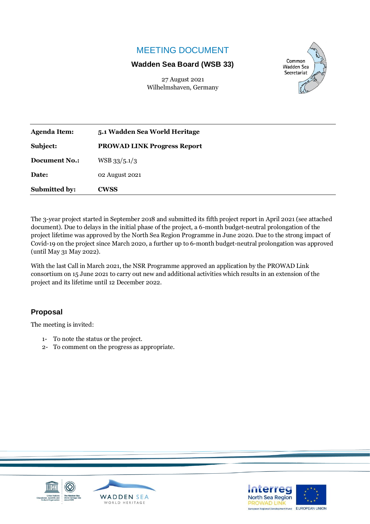## MEETING DOCUMENT

## **Wadden Sea Board (WSB 33)**

27 August 2021 Wilhelmshaven, Germany



| <b>Agenda Item:</b>  | 5.1 Wadden Sea World Heritage      |
|----------------------|------------------------------------|
| Subject:             | <b>PROWAD LINK Progress Report</b> |
| <b>Document No.:</b> | $WSB$ 33/5.1/3                     |
| Date:                | 02 August 2021                     |
| <b>Submitted by:</b> | <b>CWSS</b>                        |

The 3-year project started in September 2018 and submitted its fifth project report in April 2021 (see attached document). Due to delays in the initial phase of the project, a 6-month budget-neutral prolongation of the project lifetime was approved by the North Sea Region Programme in June 2020. Due to the strong impact of Covid-19 on the project since March 2020, a further up to 6-month budget-neutral prolongation was approved (until May 31 May 2022).

With the last Call in March 2021, the NSR Programme approved an application by the PROWAD Link consortium on 15 June 2021 to carry out new and additional activities which results in an extension of the project and its lifetime until 12 December 2022.

## **Proposal**

The meeting is invited:

- 1- To note the status or the project.
- 2- To comment on the progress as appropriate.





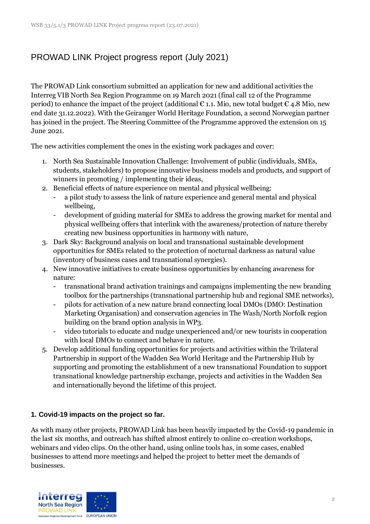# PROWAD LINK Project progress report (July 2021)

The PROWAD Link consortium submitted an application for new and additional activities the Interreg VIB North Sea Region Programme on 19 March 2021 (final call 12 of the Programme period) to enhance the impact of the project (additional  $\epsilon$  1.1. Mio, new total budget  $\epsilon$  4.8 Mio, new end date 31.12.2022). With the Geiranger World Heritage Foundation, a second Norwegian partner has joined in the project. The Steering Committee of the Programme approved the extension on 15 June 2021.

The new activities complement the ones in the existing work packages and cover:

- 1. North Sea Sustainable Innovation Challenge: Involvement of public (individuals, SMEs, students, stakeholders) to propose innovative business models and products, and support of winners in promoting / implementing their ideas,
- 2. Beneficial effects of nature experience on mental and physical wellbeing:
	- a pilot study to assess the link of nature experience and general mental and physical wellbeing,
	- development of guiding material for SMEs to address the growing market for mental and physical wellbeing offers that interlink with the awareness/protection of nature thereby creating new business opportunities in harmony with nature,
- 3. Dark Sky: Background analysis on local and transnational sustainable development opportunities for SMEs related to the protection of nocturnal darkness as natural value (inventory of business cases and transnational synergies).
- 4. New innovative initiatives to create business opportunities by enhancing awareness for nature:
	- transnational brand activation trainings and campaigns implementing the new branding toolbox for the partnerships (transnational partnership hub and regional SME networks),
	- pilots for activation of a new nature brand connecting local DMOs (DMO: Destination Marketing Organisation) and conservation agencies in The Wash/North Norfolk region building on the brand option analysis in WP3.
	- video tutorials to educate and nudge unexperienced and/or new tourists in cooperation with local DMOs to connect and behave in nature.
- 5. Develop additional funding opportunities for projects and activities within the Trilateral Partnership in support of the Wadden Sea World Heritage and the Partnership Hub by supporting and promoting the establishment of a new transnational Foundation to support transnational knowledge partnership exchange, projects and activities in the Wadden Sea and internationally beyond the lifetime of this project.

#### **1. Covid-19 impacts on the project so far.**

As with many other projects, PROWAD Link has been heavily impacted by the Covid-19 pandemic in the last six months, and outreach has shifted almost entirely to online co-creation workshops, webinars and video clips. On the other hand, using online tools has, in some cases, enabled businesses to attend more meetings and helped the project to better meet the demands of businesses.

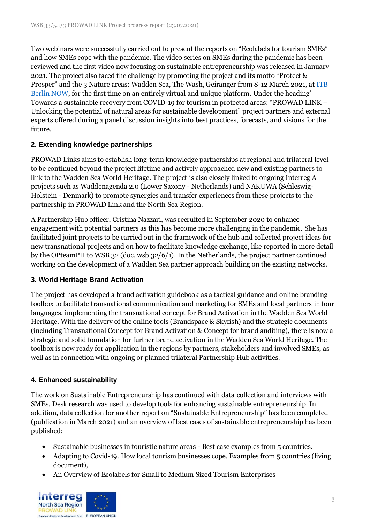Two webinars were successfully carried out to present the reports on "Ecolabels for tourism SMEs" and how SMEs cope with the pandemic. The video series on SMEs during the pandemic has been reviewed and the first video now focusing on sustainable entrepreneurship was released in January 2021. The project also faced the challenge by promoting the project and its motto "Protect & Prosper" and the 3 Nature areas: Wadden Sea, The Wash, Geiranger from 8-12 March 2021, at ITB [Berlin NOW,](http://www.itb-now.com/) for the first time on an entirely virtual and unique platform. Under the heading' Towards a sustainable recovery from COVID-19 for tourism in protected areas: "PROWAD LINK – Unlocking the potential of natural areas for sustainable development" project partners and external experts offered during a panel discussion insights into best practices, forecasts, and visions for the future.

## **2. Extending knowledge partnerships**

PROWAD Links aims to establish long-term knowledge partnerships at regional and trilateral level to be continued beyond the project lifetime and actively approached new and existing partners to link to the Wadden Sea World Heritage. The project is also closely linked to ongoing Interreg A projects such as Waddenagenda 2.0 (Lower Saxony - Netherlands) and NAKUWA (Schleswig-Holstein - Denmark) to promote synergies and transfer experiences from these projects to the partnership in PROWAD Link and the North Sea Region.

A Partnership Hub officer, Cristina Nazzari, was recruited in September 2020 to enhance engagement with potential partners as this has become more challenging in the pandemic. She has facilitated joint projects to be carried out in the framework of the hub and collected project ideas for new transnational projects and on how to facilitate knowledge exchange, like reported in more detail by the OPteamPH to WSB 32 (doc. wsb 32/6/1). In the Netherlands, the project partner continued working on the development of a Wadden Sea partner approach building on the existing networks.

## **3. World Heritage Brand Activation**

The project has developed a brand activation guidebook as a tactical guidance and online branding toolbox to facilitate transnational communication and marketing for SMEs and local partners in four languages, implementing the transnational concept for Brand Activation in the Wadden Sea World Heritage. With the delivery of the online tools (Brandspace & Skyfish) and the strategic documents (including Transnational Concept for Brand Activation & Concept for brand auditing), there is now a strategic and solid foundation for further brand activation in the Wadden Sea World Heritage. The toolbox is now ready for application in the regions by partners, stakeholders and involved SMEs, as well as in connection with ongoing or planned trilateral Partnership Hub activities.

## **4. Enhanced sustainability**

The work on Sustainable Entrepreneurship has continued with data collection and interviews with SMEs. Desk research was used to develop tools for enhancing sustainable entrepreneurship. In addition, data collection for another report on "Sustainable Entrepreneurship" has been completed (publication in March 2021) and an overview of best cases of sustainable entrepreneurship has been published:

- Sustainable businesses in touristic nature areas Best case examples from 5 countries.
- Adapting to Covid-19. How local tourism businesses cope. Examples from 5 countries (living document),
- An Overview of Ecolabels for Small to Medium Sized Tourism Enterprises